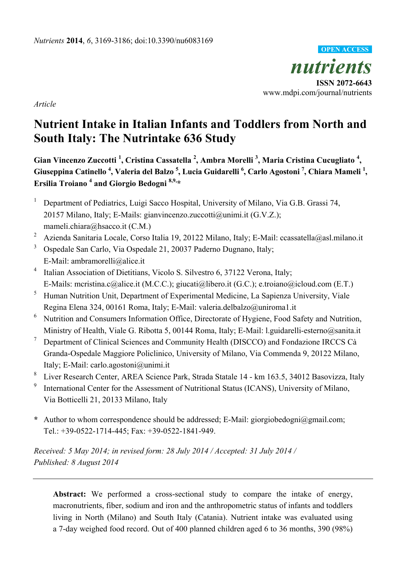

*Article*

# **Nutrient Intake in Italian Infants and Toddlers from North and South Italy: The Nutrintake 636 Study**

**Gian Vincenzo Zuccotti <sup>1</sup> , Cristina Cassatella <sup>2</sup> , Ambra Morelli <sup>3</sup> , Maria Cristina Cucugliato <sup>4</sup> , Giuseppina Catinello <sup>4</sup> , Valeria del Balzo <sup>5</sup> , Lucia Guidarelli <sup>6</sup> , Carlo Agostoni <sup>7</sup> , Chiara Mameli <sup>1</sup> , Ersilia Troiano <sup>4</sup> and Giorgio Bedogni 8,9,\***

- <sup>1</sup> Department of Pediatrics, Luigi Sacco Hospital, University of Milano, Via G.B. Grassi 74, 20157 Milano, Italy; E-Mails: gianvincenzo.zuccotti@unimi.it (G.V.Z.); mameli.chiara@hsacco.it (C.M.)
- <sup>2</sup> Azienda Sanitaria Locale, Corso Italia 19, 20122 Milano, Italy; E-Mail: ccassatella@asl.milano.it
- <sup>3</sup> Ospedale San Carlo, Via Ospedale 21, 20037 Paderno Dugnano, Italy; E-Mail: ambramorelli@alice.it
- <sup>4</sup> Italian Association of Dietitians, Vicolo S. Silvestro 6, 37122 Verona, Italy; E-Mails: mcristina.c@alice.it (M.C.C.); giucati@libero.it (G.C.); e.troiano@icloud.com (E.T.)
- <sup>5</sup> Human Nutrition Unit, Department of Experimental Medicine, La Sapienza University, Viale Regina Elena 324, 00161 Roma, Italy; E-Mail: valeria.delbalzo@uniroma1.it
- <sup>6</sup> Nutrition and Consumers Information Office, Directorate of Hygiene, Food Safety and Nutrition, Ministry of Health, Viale G. Ribotta 5, 00144 Roma, Italy; E-Mail: l.guidarelli-esterno@sanita.it
- <sup>7</sup> Department of Clinical Sciences and Community Health (DISCCO) and Fondazione IRCCS Cà Granda-Ospedale Maggiore Policlinico, University of Milano, Via Commenda 9, 20122 Milano, Italy; E-Mail: carlo.agostoni@unimi.it
- 8 Liver Research Center, AREA Science Park, Strada Statale 14 - km 163.5, 34012 Basovizza, Italy
- 9 International Center for the Assessment of Nutritional Status (ICANS), University of Milano, Via Botticelli 21, 20133 Milano, Italy
- **\*** Author to whom correspondence should be addressed; E-Mail: giorgiobedogni@gmail.com; Tel.: +39-0522-1714-445; Fax: +39-0522-1841-949.

*Received: 5 May 2014; in revised form: 28 July 2014 / Accepted: 31 July 2014 / Published: 8 August 2014*

**Abstract:** We performed a cross-sectional study to compare the intake of energy, macronutrients, fiber, sodium and iron and the anthropometric status of infants and toddlers living in North (Milano) and South Italy (Catania). Nutrient intake was evaluated using a 7-day weighed food record. Out of 400 planned children aged 6 to 36 months, 390 (98%)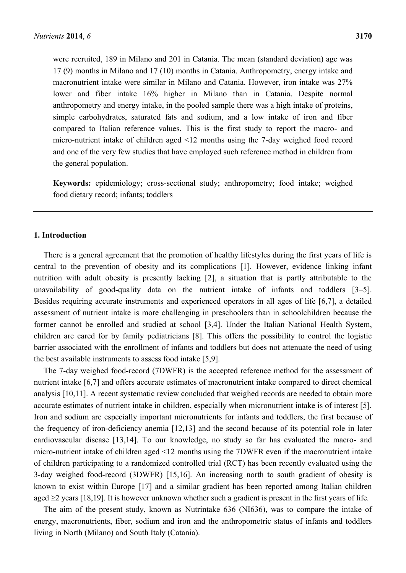were recruited, 189 in Milano and 201 in Catania. The mean (standard deviation) age was 17 (9) months in Milano and 17 (10) months in Catania. Anthropometry, energy intake and macronutrient intake were similar in Milano and Catania. However, iron intake was 27% lower and fiber intake 16% higher in Milano than in Catania. Despite normal anthropometry and energy intake, in the pooled sample there was a high intake of proteins, simple carbohydrates, saturated fats and sodium, and a low intake of iron and fiber compared to Italian reference values. This is the first study to report the macro- and micro-nutrient intake of children aged <12 months using the 7-day weighed food record and one of the very few studies that have employed such reference method in children from the general population.

**Keywords:** epidemiology; cross-sectional study; anthropometry; food intake; weighed food dietary record; infants; toddlers

### **1. Introduction**

There is a general agreement that the promotion of healthy lifestyles during the first years of life is central to the prevention of obesity and its complications [1]. However, evidence linking infant nutrition with adult obesity is presently lacking [2], a situation that is partly attributable to the unavailability of good-quality data on the nutrient intake of infants and toddlers [3–5]. Besides requiring accurate instruments and experienced operators in all ages of life [6,7], a detailed assessment of nutrient intake is more challenging in preschoolers than in schoolchildren because the former cannot be enrolled and studied at school [3,4]. Under the Italian National Health System, children are cared for by family pediatricians [8]. This offers the possibility to control the logistic barrier associated with the enrollment of infants and toddlers but does not attenuate the need of using the best available instruments to assess food intake [5,9].

The 7-day weighed food-record (7DWFR) is the accepted reference method for the assessment of nutrient intake [6,7] and offers accurate estimates of macronutrient intake compared to direct chemical analysis [10,11]. A recent systematic review concluded that weighed records are needed to obtain more accurate estimates of nutrient intake in children, especially when micronutrient intake is of interest [5]. Iron and sodium are especially important micronutrients for infants and toddlers, the first because of the frequency of iron-deficiency anemia [12,13] and the second because of its potential role in later cardiovascular disease [13,14]. To our knowledge, no study so far has evaluated the macro- and micro-nutrient intake of children aged <12 months using the 7DWFR even if the macronutrient intake of children participating to a randomized controlled trial (RCT) has been recently evaluated using the 3-day weighed food-record (3DWFR) [15,16]. An increasing north to south gradient of obesity is known to exist within Europe [17] and a similar gradient has been reported among Italian children aged  $\geq$ 2 years [18,19]. It is however unknown whether such a gradient is present in the first years of life.

The aim of the present study, known as Nutrintake 636 (NI636), was to compare the intake of energy, macronutrients, fiber, sodium and iron and the anthropometric status of infants and toddlers living in North (Milano) and South Italy (Catania).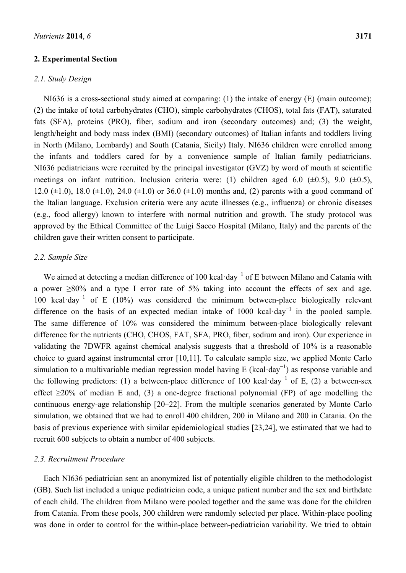### **2. Experimental Section**

### *2.1. Study Design*

NI636 is a cross-sectional study aimed at comparing: (1) the intake of energy (E) (main outcome); (2) the intake of total carbohydrates (CHO), simple carbohydrates (CHOS), total fats (FAT), saturated fats (SFA), proteins (PRO), fiber, sodium and iron (secondary outcomes) and; (3) the weight, length/height and body mass index (BMI) (secondary outcomes) of Italian infants and toddlers living in North (Milano, Lombardy) and South (Catania, Sicily) Italy. NI636 children were enrolled among the infants and toddlers cared for by a convenience sample of Italian family pediatricians. NI636 pediatricians were recruited by the principal investigator (GVZ) by word of mouth at scientific meetings on infant nutrition. Inclusion criteria were: (1) children aged 6.0  $(\pm 0.5)$ , 9.0  $(\pm 0.5)$ , 12.0 ( $\pm$ 1.0), 18.0 ( $\pm$ 1.0), 24.0 ( $\pm$ 1.0) or 36.0 ( $\pm$ 1.0) months and, (2) parents with a good command of the Italian language. Exclusion criteria were any acute illnesses (e.g., influenza) or chronic diseases (e.g., food allergy) known to interfere with normal nutrition and growth. The study protocol was approved by the Ethical Committee of the Luigi Sacco Hospital (Milano, Italy) and the parents of the children gave their written consent to participate.

### *2.2. Sample Size*

We aimed at detecting a median difference of 100 kcal·day<sup>-1</sup> of E between Milano and Catania with a power >80% and a type I error rate of 5% taking into account the effects of sex and age. 100 kcal·day<sup>−</sup><sup>1</sup> of E (10%) was considered the minimum between-place biologically relevant difference on the basis of an expected median intake of 1000 kcal·day<sup>-1</sup> in the pooled sample. The same difference of 10% was considered the minimum between-place biologically relevant difference for the nutrients (CHO, CHOS, FAT, SFA, PRO, fiber, sodium and iron). Our experience in validating the 7DWFR against chemical analysis suggests that a threshold of 10% is a reasonable choice to guard against instrumental error [10,11]. To calculate sample size, we applied Monte Carlo simulation to a multivariable median regression model having E (kcal·day<sup>-1</sup>) as response variable and the following predictors: (1) a between-place difference of 100 kcal·day<sup>-1</sup> of E, (2) a between-sex effect  $\geq$ 20% of median E and, (3) a one-degree fractional polynomial (FP) of age modelling the continuous energy-age relationship [20–22]. From the multiple scenarios generated by Monte Carlo simulation, we obtained that we had to enroll 400 children, 200 in Milano and 200 in Catania. On the basis of previous experience with similar epidemiological studies [23,24], we estimated that we had to recruit 600 subjects to obtain a number of 400 subjects.

# *2.3. Recruitment Procedure*

Each NI636 pediatrician sent an anonymized list of potentially eligible children to the methodologist (GB). Such list included a unique pediatrician code, a unique patient number and the sex and birthdate of each child. The children from Milano were pooled together and the same was done for the children from Catania. From these pools, 300 children were randomly selected per place. Within-place pooling was done in order to control for the within-place between-pediatrician variability. We tried to obtain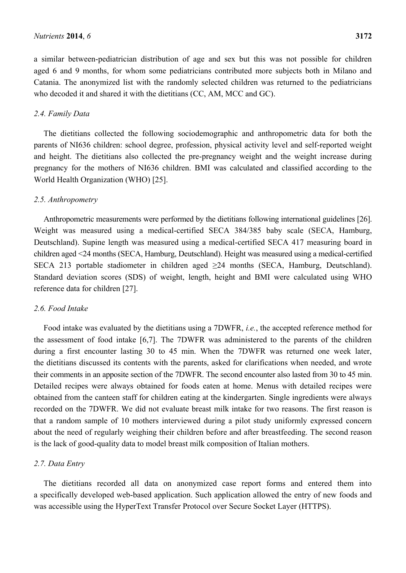a similar between-pediatrician distribution of age and sex but this was not possible for children aged 6 and 9 months, for whom some pediatricians contributed more subjects both in Milano and Catania. The anonymized list with the randomly selected children was returned to the pediatricians who decoded it and shared it with the dietitians (CC, AM, MCC and GC).

### *2.4. Family Data*

The dietitians collected the following sociodemographic and anthropometric data for both the parents of NI636 children: school degree, profession, physical activity level and self-reported weight and height. The dietitians also collected the pre-pregnancy weight and the weight increase during pregnancy for the mothers of NI636 children. BMI was calculated and classified according to the World Health Organization (WHO) [25].

### *2.5. Anthropometry*

Anthropometric measurements were performed by the dietitians following international guidelines [26]. Weight was measured using a medical-certified SECA 384/385 baby scale (SECA, Hamburg, Deutschland). Supine length was measured using a medical-certified SECA 417 measuring board in children aged <24 months (SECA, Hamburg, Deutschland). Height was measured using a medical-certified SECA 213 portable stadiometer in children aged ≥24 months (SECA, Hamburg, Deutschland). Standard deviation scores (SDS) of weight, length, height and BMI were calculated using WHO reference data for children [27].

### *2.6. Food Intake*

Food intake was evaluated by the dietitians using a 7DWFR, *i.e.*, the accepted reference method for the assessment of food intake [6,7]. The 7DWFR was administered to the parents of the children during a first encounter lasting 30 to 45 min. When the 7DWFR was returned one week later, the dietitians discussed its contents with the parents, asked for clarifications when needed, and wrote their comments in an apposite section of the 7DWFR. The second encounter also lasted from 30 to 45 min. Detailed recipes were always obtained for foods eaten at home. Menus with detailed recipes were obtained from the canteen staff for children eating at the kindergarten. Single ingredients were always recorded on the 7DWFR. We did not evaluate breast milk intake for two reasons. The first reason is that a random sample of 10 mothers interviewed during a pilot study uniformly expressed concern about the need of regularly weighing their children before and after breastfeeding. The second reason is the lack of good-quality data to model breast milk composition of Italian mothers.

### *2.7. Data Entry*

The dietitians recorded all data on anonymized case report forms and entered them into a specifically developed web-based application. Such application allowed the entry of new foods and was accessible using the HyperText Transfer Protocol over Secure Socket Layer (HTTPS).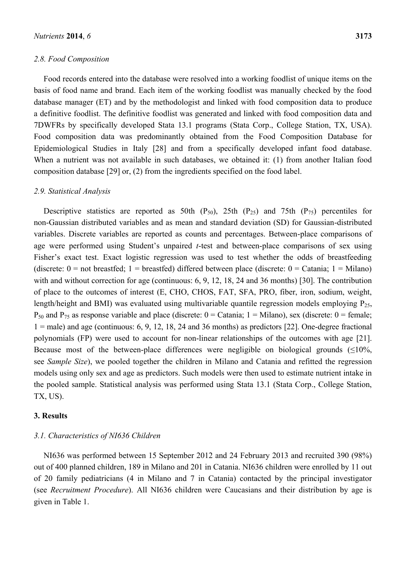### *2.8. Food Composition*

Food records entered into the database were resolved into a working foodlist of unique items on the basis of food name and brand. Each item of the working foodlist was manually checked by the food database manager (ET) and by the methodologist and linked with food composition data to produce a definitive foodlist. The definitive foodlist was generated and linked with food composition data and 7DWFRs by specifically developed Stata 13.1 programs (Stata Corp., College Station, TX, USA). Food composition data was predominantly obtained from the Food Composition Database for Epidemiological Studies in Italy [28] and from a specifically developed infant food database. When a nutrient was not available in such databases, we obtained it: (1) from another Italian food composition database [29] or, (2) from the ingredients specified on the food label.

### *2.9. Statistical Analysis*

Descriptive statistics are reported as 50th  $(P_{50})$ , 25th  $(P_{25})$  and 75th  $(P_{75})$  percentiles for non-Gaussian distributed variables and as mean and standard deviation (SD) for Gaussian-distributed variables. Discrete variables are reported as counts and percentages. Between-place comparisons of age were performed using Student's unpaired *t*-test and between-place comparisons of sex using Fisher's exact test. Exact logistic regression was used to test whether the odds of breastfeeding (discrete:  $0 =$  not breastfed; 1 = breastfed) differed between place (discrete:  $0 =$  Catania; 1 = Milano) with and without correction for age (continuous: 6, 9, 12, 18, 24 and 36 months) [30]. The contribution of place to the outcomes of interest (E, CHO, CHOS, FAT, SFA, PRO, fiber, iron, sodium, weight, length/height and BMI) was evaluated using multivariable quantile regression models employing  $P_{25}$ ,  $P_{50}$  and  $P_{75}$  as response variable and place (discrete:  $0 =$  Catania;  $1 =$  Milano), sex (discrete:  $0 =$  female;  $1 =$ male) and age (continuous: 6, 9, 12, 18, 24 and 36 months) as predictors [22]. One-degree fractional polynomials (FP) were used to account for non-linear relationships of the outcomes with age [21]. Because most of the between-place differences were negligible on biological grounds  $(\leq 10\%$ , see *Sample Size*), we pooled together the children in Milano and Catania and refitted the regression models using only sex and age as predictors. Such models were then used to estimate nutrient intake in the pooled sample. Statistical analysis was performed using Stata 13.1 (Stata Corp., College Station, TX, US).

### **3. Results**

### *3.1. Characteristics of NI636 Children*

NI636 was performed between 15 September 2012 and 24 February 2013 and recruited 390 (98%) out of 400 planned children, 189 in Milano and 201 in Catania. NI636 children were enrolled by 11 out of 20 family pediatricians (4 in Milano and 7 in Catania) contacted by the principal investigator (see *Recruitment Procedure*). All NI636 children were Caucasians and their distribution by age is given in Table 1.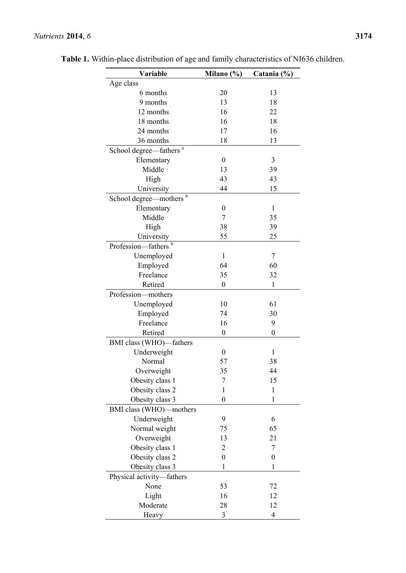| Variable                           | Milano $(\%)$    | Catania (%)      |
|------------------------------------|------------------|------------------|
| Age class                          |                  |                  |
| 6 months                           | 20               | 13               |
| 9 months                           | 13               | 18               |
| 12 months                          | 16               | 22               |
| 18 months                          | 16               | 18               |
| 24 months                          | 17               | 16               |
| 36 months                          | 18               | 13               |
| School degree-fathers <sup>a</sup> |                  |                  |
| Elementary                         | $\boldsymbol{0}$ | 3                |
| Middle                             | 13               | 39               |
| High                               | 43               | 43               |
| University                         | 44               | 15               |
| School degree—mothers <sup>b</sup> |                  |                  |
| Elementary                         | 0                | 1                |
| Middle                             | 7                | 35               |
| High                               | 38               | 39               |
| University                         | 55               | 25               |
| Profession-fathers <sup>b</sup>    |                  |                  |
| Unemployed                         | 1                | 7                |
| Employed                           | 64               | 60               |
| Freelance                          | 35               | 32               |
| Retired                            | $\boldsymbol{0}$ | $\mathbf{1}$     |
| Profession-mothers                 |                  |                  |
| Unemployed                         | 10               | 61               |
| Employed                           | 74               | 30               |
| Freelance                          | 16               | 9                |
| Retired                            | $\boldsymbol{0}$ | $\boldsymbol{0}$ |
|                                    |                  |                  |
| BMI class (WHO)-fathers            | $\boldsymbol{0}$ | 1                |
| Underweight<br>Normal              | 57               | 38               |
| Overweight                         |                  | 44               |
|                                    | 35               |                  |
| Obesity class 1                    | 7                | 15               |
| Obesity class 2                    | 1                | $\mathbf{1}$     |
| Obesity class 3                    | $\boldsymbol{0}$ | $\mathbf{1}$     |
| BMI class (WHO)—mothers            |                  |                  |
| Underweight                        | 9                | 6                |
| Normal weight                      | 75               | 65               |
| Overweight                         | 13               | 21               |
| Obesity class 1                    | 2                | 7                |
| Obesity class 2                    | $\boldsymbol{0}$ | $\boldsymbol{0}$ |
| Obesity class 3                    | $\mathbf{1}$     | $\mathbf{1}$     |
| Physical activity-fathers          |                  |                  |
| None                               | 53               | 72               |
| Light                              | 16               | 12               |
| Moderate                           | 28               | 12               |
| Heavy                              | $\mathfrak{Z}$   | $\overline{4}$   |

**Table 1.** Within-place distribution of age and family characteristics of NI636 children.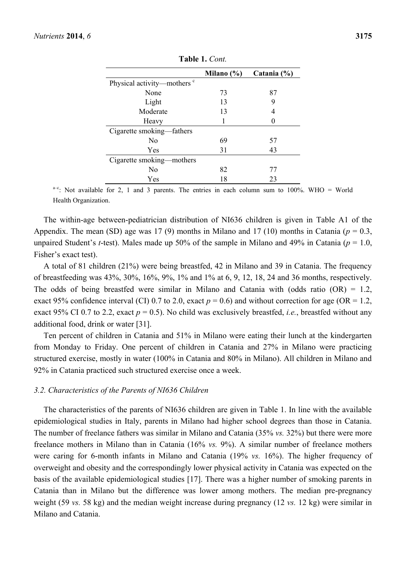|                                        | Milano $(\% )$ | Catania (%) |
|----------------------------------------|----------------|-------------|
| Physical activity—mothers <sup>c</sup> |                |             |
| None                                   | 73             | 87          |
| Light                                  | 13             | 9           |
| Moderate                               | 13             | 4           |
| Heavy                                  |                |             |
| Cigarette smoking—fathers              |                |             |
| No                                     | 69             | 57          |
| Yes                                    | 31             | 43          |
| Cigarette smoking—mothers              |                |             |
| N <sub>0</sub>                         | 82             | 77          |
| Yes                                    | 18             | 23          |

**Table 1.** *Cont.*

 $a-c$ : Not available for 2, 1 and 3 parents. The entries in each column sum to 100%. WHO = World Health Organization.

The within-age between-pediatrician distribution of NI636 children is given in Table A1 of the Appendix. The mean (SD) age was 17 (9) months in Milano and 17 (10) months in Catania ( $p = 0.3$ , unpaired Student's *t*-test). Males made up 50% of the sample in Milano and 49% in Catania (*p* = 1.0, Fisher's exact test).

A total of 81 children (21%) were being breastfed, 42 in Milano and 39 in Catania. The frequency of breastfeeding was 43%, 30%, 16%, 9%, 1% and 1% at 6, 9, 12, 18, 24 and 36 months, respectively. The odds of being breastfed were similar in Milano and Catania with (odds ratio  $(OR) = 1.2$ , exact 95% confidence interval (CI) 0.7 to 2.0, exact  $p = 0.6$ ) and without correction for age (OR = 1.2, exact 95% CI 0.7 to 2.2, exact  $p = 0.5$ ). No child was exclusively breastfed, *i.e.*, breastfed without any additional food, drink or water [31].

Ten percent of children in Catania and 51% in Milano were eating their lunch at the kindergarten from Monday to Friday. One percent of children in Catania and 27% in Milano were practicing structured exercise, mostly in water (100% in Catania and 80% in Milano). All children in Milano and 92% in Catania practiced such structured exercise once a week.

### *3.2. Characteristics of the Parents of NI636 Children*

The characteristics of the parents of NI636 children are given in Table 1. In line with the available epidemiological studies in Italy, parents in Milano had higher school degrees than those in Catania. The number of freelance fathers was similar in Milano and Catania (35% *vs.* 32%) but there were more freelance mothers in Milano than in Catania (16% *vs.* 9%). A similar number of freelance mothers were caring for 6-month infants in Milano and Catania (19% *vs.* 16%). The higher frequency of overweight and obesity and the correspondingly lower physical activity in Catania was expected on the basis of the available epidemiological studies [17]. There was a higher number of smoking parents in Catania than in Milano but the difference was lower among mothers. The median pre-pregnancy weight (59 *vs.* 58 kg) and the median weight increase during pregnancy (12 *vs.* 12 kg) were similar in Milano and Catania.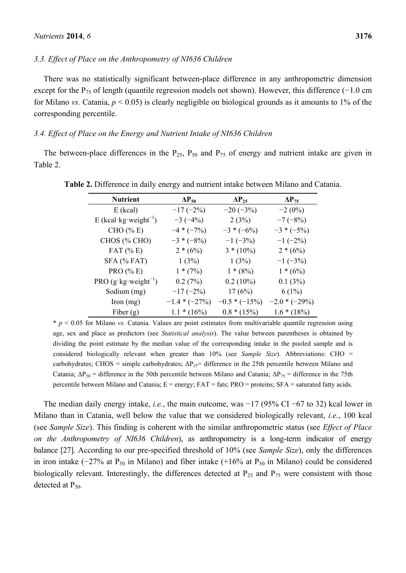### *3.3. Effect of Place on the Anthropometry of NI636 Children*

There was no statistically significant between-place difference in any anthropometric dimension except for the P<sub>75</sub> of length (quantile regression models not shown). However, this difference (−1.0 cm for Milano *vs.* Catania, *p* < 0.05) is clearly negligible on biological grounds as it amounts to 1% of the corresponding percentile.

### *3.4. Effect of Place on the Energy and Nutrient Intake of NI636 Children*

The between-place differences in the  $P_{25}$ ,  $P_{50}$  and  $P_{75}$  of energy and nutrient intake are given in Table 2.

| <b>Nutrient</b>                      | $\Delta P_{50}$ | $\Delta P_{25}$ | $\Delta P_{75}$ |
|--------------------------------------|-----------------|-----------------|-----------------|
| $E$ (kcal)                           | $-17(-2%)$      | $-20(-3%)$      | $-2(0\%)$       |
| E (kcal·kg·weight <sup>-1</sup> )    | $-3(-4%)$       | 2(3%)           | $-7(-8%)$       |
| CHO $(%$ (% E)                       | $-4 * (-7%)$    | $-3 * (-6\%)$   | $-3 * (-5\%)$   |
| CHOS (% CHO)                         | $-3 * (-8\%)$   | $-1$ (-3%)      | $-1$ (-2%)      |
| FAT $(\% E)$                         | $2*(6%)$        | $3*(10\%)$      | $2*(6%)$        |
| $SFA$ (% FAT)                        | 1(3%)           | 1(3%)           | $-1$ ( $-3\%$ ) |
| PRO (% E)                            | $1*(7%)$        | $1*(8%)$        | $1*(6%)$        |
| PRO $(g \cdot kg \cdot weight^{-1})$ | 0.2(7%)         | $0.2(10\%)$     | 0.1(3%)         |
| Sodium (mg)                          | $-17(-2%)$      | 17(6%)          | $6(1\%)$        |
| Iron $(mg)$                          | $-1.4*(-27%)$   | $-0.5*(-15%)$   | $-2.0*(-29%)$   |
| Fiber $(g)$                          | $1.1 * (16\%)$  | $0.8 * (15%)$   | $1.6 * (18\%)$  |

**Table 2.** Difference in daily energy and nutrient intake between Milano and Catania.

\* *p* < 0.05 for Milano *vs.* Catania. Values are point estimates from multivariable quantile regression using age, sex and place as predictors (see *Statistical analysis*). The value between parentheses is obtained by dividing the point estimate by the median value of the corresponding intake in the pooled sample and is considered biologically relevant when greater than 10% (see *Sample Size*). Abbreviations: CHO = carbohydrates; CHOS = simple carbohydrates;  $\Delta P_{25}$ = difference in the 25th percentile between Milano and Catania;  $\Delta P_{50}$  = difference in the 50th percentile between Milano and Catania;  $\Delta P_{75}$  = difference in the 75th percentile between Milano and Catania;  $E =$  energy;  $FAT =$  fats;  $PRO =$  proteins;  $SFA =$  saturated fatty acids.

The median daily energy intake, *i.e.*, the main outcome, was −17 (95% CI −67 to 32) kcal lower in Milano than in Catania, well below the value that we considered biologically relevant, *i.e.*, 100 kcal (see *Sample Size*). This finding is coherent with the similar anthropometric status (see *Effect of Place on the Anthropometry of NI636 Children*), as anthropometry is a long-term indicator of energy balance [27]. According to our pre-specified threshold of 10% (see *Sample Size*), only the differences in iron intake ( $-27\%$  at P<sub>50</sub> in Milano) and fiber intake (+16% at P<sub>50</sub> in Milano) could be considered biologically relevant. Interestingly, the differences detected at  $P_{25}$  and  $P_{75}$  were consistent with those detected at  $P_{50}$ .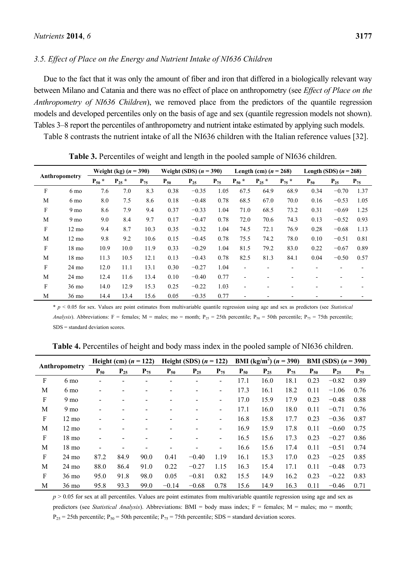### *3.5. Effect of Place on the Energy and Nutrient Intake of NI636 Children*

Due to the fact that it was only the amount of fiber and iron that differed in a biologically relevant way between Milano and Catania and there was no effect of place on anthropometry (see *Effect of Place on the Anthropometry of NI636 Children*), we removed place from the predictors of the quantile regression models and developed percentiles only on the basis of age and sex (quantile regression models not shown). Tables 3–8 report the percentiles of anthropometry and nutrient intake estimated by applying such models.

Table 8 contrasts the nutrient intake of all the NI636 children with the Italian reference values [32].

|           |                             | Weight (kg) $(n = 390)$ |            |          | Weight (SDS) $(n = 390)$ |          |          | Length (cm) $(n = 268)$ |            |            | Length (SDS) $(n = 268)$ |          |          |
|-----------|-----------------------------|-------------------------|------------|----------|--------------------------|----------|----------|-------------------------|------------|------------|--------------------------|----------|----------|
|           | Anthropometry<br>$P_{50}$ * |                         | $P_{25}$ * | $P_{75}$ | $P_{50}$                 | $P_{25}$ | $P_{75}$ | $P_{50}$ *              | $P_{25}$ * | $P_{75}$ * | $P_{50}$                 | $P_{25}$ | $P_{75}$ |
| F         | 6 mo                        | 7.6                     | 7.0        | 8.3      | 0.38                     | $-0.35$  | 1.05     | 67.5                    | 64.9       | 68.9       | 0.34                     | $-0.70$  | 1.37     |
| M         | $6 \text{ mo}$              | 8.0                     | 7.5        | 8.6      | 0.18                     | $-0.48$  | 0.78     | 68.5                    | 67.0       | 70.0       | 0.16                     | $-0.53$  | 1.05     |
| F         | 9 mo                        | 8.6                     | 7.9        | 9.4      | 0.37                     | $-0.33$  | 1.04     | 71.0                    | 68.5       | 73.2       | 0.31                     | $-0.69$  | 1.25     |
| M         | 9 <sub>mo</sub>             | 9.0                     | 8.4        | 9.7      | 0.17                     | $-0.47$  | 0.78     | 72.0                    | 70.6       | 74.3       | 0.13                     | $-0.52$  | 0.93     |
| F         | $12 \text{ mo}$             | 9.4                     | 8.7        | 10.3     | 0.35                     | $-0.32$  | 1.04     | 74.5                    | 72.1       | 76.9       | 0.28                     | $-0.68$  | 1.13     |
| M         | $12 \text{ mo}$             | 9.8                     | 9.2        | 10.6     | 0.15                     | $-0.45$  | 0.78     | 75.5                    | 74.2       | 78.0       | 0.10                     | $-0.51$  | 0.81     |
| F         | $18 \text{ mo}$             | 10.9                    | 10.0       | 11.9     | 0.33                     | $-0.29$  | 1.04     | 81.5                    | 79.2       | 83.0       | 0.22                     | $-0.67$  | 0.89     |
| M         | $18 \text{ mo}$             | 11.3                    | 10.5       | 12.1     | 0.13                     | $-0.43$  | 0.78     | 82.5                    | 81.3       | 84.1       | 0.04                     | $-0.50$  | 0.57     |
| ${\bf F}$ | $24 \text{ mo}$             | 12.0                    | 11.1       | 13.1     | 0.30                     | $-0.27$  | 1.04     | $\blacksquare$          | -          | ٠          |                          | ٠        |          |
| M         | $24 \text{ mo}$             | 12.4                    | 11.6       | 13.4     | 0.10                     | $-0.40$  | 0.77     | ٠                       | -          |            |                          |          |          |
| F         | 36 mo                       | 14.0                    | 12.9       | 15.3     | 0.25                     | $-0.22$  | 1.03     |                         |            |            |                          |          |          |
| M         | 36 mo                       | 14.4                    | 13.4       | 15.6     | 0.05                     | $-0.35$  | 0.77     |                         |            |            |                          |          |          |

**Table 3.** Percentiles of weight and length in the pooled sample of NI636 children.

\* *p* < 0.05 for sex. Values are point estimates from multivariable quantile regression using age and sex as predictors (see *Statistical Analysis*). Abbreviations: F = females; M = males; mo = month; P<sub>25</sub> = 25th percentile; P<sub>50</sub> = 50th percentile; P<sub>75</sub> = 75th percentile; SDS = standard deviation scores.

| Table 4. Percentiles of height and body mass index in the pooled sample of NI636 children. |  |  |  |
|--------------------------------------------------------------------------------------------|--|--|--|
|--------------------------------------------------------------------------------------------|--|--|--|

| Anthropometry |                 | Height (cm) $(n = 122)$ |          |          | Height (SDS) $(n = 122)$ |          |                          | <b>BMI</b> (kg/m <sup>2</sup> ) ( <i>n</i> = 390) |          |          | <b>BMI</b> (SDS) $(n = 390)$ |          |          |
|---------------|-----------------|-------------------------|----------|----------|--------------------------|----------|--------------------------|---------------------------------------------------|----------|----------|------------------------------|----------|----------|
|               |                 | $P_{50}$                | $P_{25}$ | $P_{75}$ | $P_{50}$                 | $P_{25}$ | $P_{75}$                 | $P_{50}$                                          | $P_{25}$ | $P_{75}$ | $P_{50}$                     | $P_{25}$ | $P_{75}$ |
| F             | 6 mo            |                         |          |          |                          |          | -                        | 17.1                                              | 16.0     | 18.1     | 0.23                         | $-0.82$  | 0.89     |
| M             | 6 mo            |                         |          |          |                          |          | $\overline{\phantom{0}}$ | 17.3                                              | 16.1     | 18.2     | 0.11                         | $-1.06$  | 0.76     |
| F             | 9 <sub>mo</sub> |                         |          |          |                          |          | $\overline{\phantom{0}}$ | 17.0                                              | 15.9     | 17.9     | 0.23                         | $-0.48$  | 0.88     |
| M             | 9 <sub>mo</sub> |                         |          |          |                          |          | $\overline{\phantom{0}}$ | 17.1                                              | 16.0     | 18.0     | 0.11                         | $-0.71$  | 0.76     |
| F             | $12 \text{ mo}$ |                         |          |          |                          |          | $\overline{\phantom{0}}$ | 16.8                                              | 15.8     | 17.7     | 0.23                         | $-0.36$  | 0.87     |
| M             | $12 \text{ mo}$ |                         |          |          |                          |          | -                        | 16.9                                              | 15.9     | 17.8     | 0.11                         | $-0.60$  | 0.75     |
| F             | $18 \text{ mo}$ |                         |          |          |                          |          | $\overline{\phantom{0}}$ | 16.5                                              | 15.6     | 17.3     | 0.23                         | $-0.27$  | 0.86     |
| M             | $18 \text{ mo}$ |                         |          |          |                          |          |                          | 16.6                                              | 15.6     | 17.4     | 0.11                         | $-0.51$  | 0.74     |
| F             | $24 \text{ mo}$ | 87.2                    | 84.9     | 90.0     | 0.41                     | $-0.40$  | 1.19                     | 16.1                                              | 15.3     | 17.0     | 0.23                         | $-0.25$  | 0.85     |
| M             | $24 \text{ mo}$ | 88.0                    | 86.4     | 91.0     | 0.22                     | $-0.27$  | 1.15                     | 16.3                                              | 15.4     | 17.1     | 0.11                         | $-0.48$  | 0.73     |
| F             | $36 \text{ mo}$ | 95.0                    | 91.8     | 98.0     | 0.05                     | $-0.81$  | 0.82                     | 15.5                                              | 14.9     | 16.2     | 0.23                         | $-0.22$  | 0.83     |
| М             | $36 \text{ mo}$ | 95.8                    | 93.3     | 99.0     | $-0.14$                  | $-0.68$  | 0.78                     | 15.6                                              | 14.9     | 16.3     | 0.11                         | $-0.46$  | 0.71     |

 $p > 0.05$  for sex at all percentiles. Values are point estimates from multivariable quantile regression using age and sex as predictors (see *Statistical Analysis*). Abbreviations: BMI = body mass index; F = females; M = males; mo = month;  $P_{25}$  = 25th percentile;  $P_{50}$  = 50th percentile;  $P_{75}$  = 75th percentile; SDS = standard deviation scores.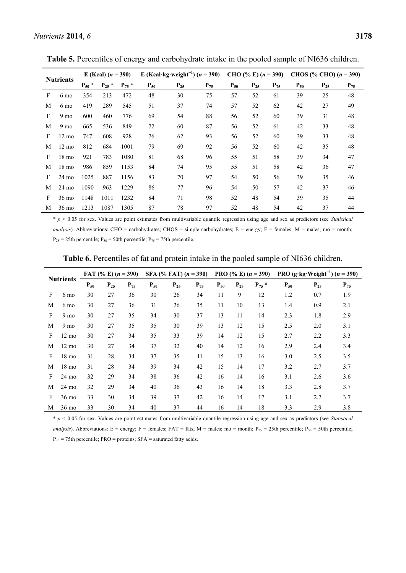| <b>Nutrients</b> |                 | E (Kcal) $(n = 390)$ |            | E (Kcal·kg·weight <sup>-1</sup> ) ( $n = 390$ ) |          |          | CHO (% E) $(n = 390)$ |          |          | CHOS (% CHO) $(n = 390)$ |          |          |          |
|------------------|-----------------|----------------------|------------|-------------------------------------------------|----------|----------|-----------------------|----------|----------|--------------------------|----------|----------|----------|
|                  |                 | $\ast$<br>$P_{50}$   | $P_{25}$ * | $P_{75}$ *                                      | $P_{50}$ | $P_{25}$ | $P_{75}$              | $P_{50}$ | $P_{25}$ | $P_{75}$                 | $P_{50}$ | $P_{25}$ | $P_{75}$ |
| F                | 6 mo            | 354                  | 213        | 472                                             | 48       | 30       | 75                    | 57       | 52       | 61                       | 39       | 25       | 48       |
| M                | 6 mo            | 419                  | 289        | 545                                             | 51       | 37       | 74                    | 57       | 52       | 62                       | 42       | 27       | 49       |
| F                | 9 mo            | 600                  | 460        | 776                                             | 69       | 54       | 88                    | 56       | 52       | 60                       | 39       | 31       | 48       |
| M                | 9 <sub>mo</sub> | 665                  | 536        | 849                                             | 72       | 60       | 87                    | 56       | 52       | 61                       | 42       | 33       | 48       |
| F                | $12 \text{ mo}$ | 747                  | 608        | 928                                             | 76       | 62       | 93                    | 56       | 52       | 60                       | 39       | 33       | 48       |
| M                | $12 \text{ mo}$ | 812                  | 684        | 1001                                            | 79       | 69       | 92                    | 56       | 52       | 60                       | 42       | 35       | 48       |
| F                | 18 mo           | 921                  | 783        | 1080                                            | 81       | 68       | 96                    | 55       | 51       | 58                       | 39       | 34       | 47       |
| M                | $18 \text{ mo}$ | 986                  | 859        | 1153                                            | 84       | 74       | 95                    | 55       | 51       | 58                       | 42       | 36       | 47       |
| F                | 24 mo           | 1025                 | 887        | 1156                                            | 83       | 70       | 97                    | 54       | 50       | 56                       | 39       | 35       | 46       |
| M                | 24 mo           | 1090                 | 963        | 1229                                            | 86       | 77       | 96                    | 54       | 50       | 57                       | 42       | 37       | 46       |
| F                | 36 mo           | 1148                 | 1011       | 1232                                            | 84       | 71       | 98                    | 52       | 48       | 54                       | 39       | 35       | 44       |
| М                | 36 mo           | 1213                 | 1087       | 1305                                            | 87       | 78       | 97                    | 52       | 48       | 54                       | 42       | 37       | 44       |

**Table 5.** Percentiles of energy and carbohydrate intake in the pooled sample of NI636 children.

\* *p* < 0.05 for sex. Values are point estimates from multivariable quantile regression using age and sex as predictors (see *Statistical analysis*). Abbreviations: CHO = carbohydrates; CHOS = simple carbohydrates; E = energy; F = females; M = males; mo = month;  $P_{25}$  = 25th percentile;  $P_{50}$  = 50th percentile;  $P_{75}$  = 75th percentile.

| <b>Nutrients</b> |                 | SFA (% FAT) $(n = 390)$<br>FAT $(\% E)$ $(n = 390)$ |          |          |          |          | PRO $(\% E)(n=390)$ |          |          | PRO $(g \cdot kg \cdot Weight^{-1})$ $(n = 390)$ |          |          |          |
|------------------|-----------------|-----------------------------------------------------|----------|----------|----------|----------|---------------------|----------|----------|--------------------------------------------------|----------|----------|----------|
|                  |                 | $P_{50}$                                            | $P_{25}$ | $P_{75}$ | $P_{50}$ | $P_{25}$ | $P_{75}$            | $P_{50}$ | $P_{25}$ | $P_{75}$ *                                       | $P_{50}$ | $P_{25}$ | $P_{75}$ |
| F                | 6 mo            | 30                                                  | 27       | 36       | 30       | 26       | 34                  | 11       | 9        | 12                                               | 1.2      | 0.7      | 1.9      |
| M                | 6 <sub>mo</sub> | 30                                                  | 27       | 36       | 31       | 26       | 35                  | 11       | 10       | 13                                               | 1.4      | 0.9      | 2.1      |
| F                | 9 <sub>mo</sub> | 30                                                  | 27       | 35       | 34       | 30       | 37                  | 13       | 11       | 14                                               | 2.3      | 1.8      | 2.9      |
| M                | 9 <sub>mo</sub> | 30                                                  | 27       | 35       | 35       | 30       | 39                  | 13       | 12       | 15                                               | 2.5      | 2.0      | 3.1      |
| F                | $12 \text{ mo}$ | 30                                                  | 27       | 34       | 35       | 33       | 39                  | 14       | 12       | 15                                               | 2.7      | 2.2      | 3.3      |
| M                | $12 \text{ mo}$ | 30                                                  | 27       | 34       | 37       | 32       | 40                  | 14       | 12       | 16                                               | 2.9      | 2.4      | 3.4      |
| F                | $18 \text{ mo}$ | 31                                                  | 28       | 34       | 37       | 35       | 41                  | 15       | 13       | 16                                               | 3.0      | 2.5      | 3.5      |
| M                | 18 mo           | 31                                                  | 28       | 34       | 39       | 34       | 42                  | 15       | 14       | 17                                               | 3.2      | 2.7      | 3.7      |
| F                | $24 \text{ mo}$ | 32                                                  | 29       | 34       | 38       | 36       | 42                  | 16       | 14       | 16                                               | 3.1      | 2.6      | 3.6      |
| M                | $24 \text{ mo}$ | 32                                                  | 29       | 34       | 40       | 36       | 43                  | 16       | 14       | 18                                               | 3.3      | 2.8      | 3.7      |
| F                | $36 \text{ mo}$ | 33                                                  | 30       | 34       | 39       | 37       | 42                  | 16       | 14       | 17                                               | 3.1      | 2.7      | 3.7      |
| М                | 36 mo           | 33                                                  | 30       | 34       | 40       | 37       | 44                  | 16       | 14       | 18                                               | 3.3      | 2.9      | 3.8      |

**Table 6.** Percentiles of fat and protein intake in the pooled sample of NI636 children.

\* *p* < 0.05 for sex. Values are point estimates from multivariable quantile regression using age and sex as predictors (see *Statistical* 

*analysis*). Abbreviations: E = energy; F = females; FAT = fats; M = males; mo = month; P<sub>25</sub> = 25th percentile; P<sub>50</sub> = 50th percentile;  $P_{75}$  = 75th percentile; PRO = proteins; SFA = saturated fatty acids.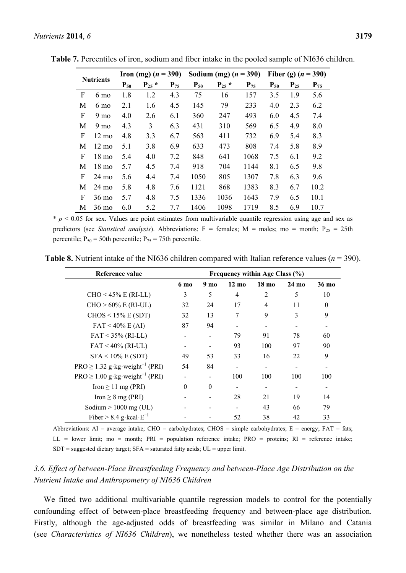|                  |                 |          | <b>Iron</b> (mg) $(n = 390)$ |          |          | Sodium (mg) $(n = 390)$ |          | Fiber (g) $(n = 390)$ |          |          |
|------------------|-----------------|----------|------------------------------|----------|----------|-------------------------|----------|-----------------------|----------|----------|
| <b>Nutrients</b> |                 | $P_{50}$ | $P_{25}$ *                   | $P_{75}$ | $P_{50}$ | $P_{25}$ *              | $P_{75}$ | $P_{50}$              | $P_{25}$ | $P_{75}$ |
| F                | 6 mo            | 1.8      | 1.2                          | 4.3      | 75       | 16                      | 157      | 3.5                   | 1.9      | 5.6      |
| M                | 6 mo            | 2.1      | 1.6                          | 4.5      | 145      | 79                      | 233      | 4.0                   | 2.3      | 6.2      |
| F                | 9 <sub>mo</sub> | 4.0      | 2.6                          | 6.1      | 360      | 247                     | 493      | 6.0                   | 4.5      | 7.4      |
| M                | 9 <sub>mo</sub> | 4.3      | 3                            | 6.3      | 431      | 310                     | 569      | 6.5                   | 4.9      | 8.0      |
| F                | $12 \text{ mo}$ | 4.8      | 3.3                          | 6.7      | 563      | 411                     | 732      | 6.9                   | 5.4      | 8.3      |
| M                | $12 \text{ mo}$ | 5.1      | 3.8                          | 6.9      | 633      | 473                     | 808      | 7.4                   | 5.8      | 8.9      |
| F                | 18 mo           | 5.4      | 4.0                          | 7.2      | 848      | 641                     | 1068     | 7.5                   | 6.1      | 9.2      |
| M                | 18 mo           | 5.7      | 4.5                          | 7.4      | 918      | 704                     | 1144     | 8.1                   | 6.5      | 9.8      |
| F                | $24 \text{ mo}$ | 5.6      | 4.4                          | 7.4      | 1050     | 805                     | 1307     | 7.8                   | 6.3      | 9.6      |
| M                | 24 mo           | 5.8      | 4.8                          | 7.6      | 1121     | 868                     | 1383     | 8.3                   | 6.7      | 10.2     |
| F                | $36 \text{ mo}$ | 5.7      | 4.8                          | 7.5      | 1336     | 1036                    | 1643     | 7.9                   | 6.5      | 10.1     |

**Table 7.** Percentiles of iron, sodium and fiber intake in the pooled sample of NI636 children.

 $* p < 0.05$  for sex. Values are point estimates from multivariable quantile regression using age and sex as predictors (see *Statistical analysis*). Abbreviations: F = females; M = males; mo = month;  $P_{25}$  = 25th percentile;  $P_{50} = 50$ th percentile;  $P_{75} = 75$ th percentile.

M 36 mo 6.0 5.2 7.7 1406 1098 1719 8.5 6.9 10.7

**Table 8.** Nutrient intake of the NI636 children compared with Italian reference values (*n* = 390).

| Reference value                                |          |                 |                 | Frequency within Age Class (%) |                 |          |
|------------------------------------------------|----------|-----------------|-----------------|--------------------------------|-----------------|----------|
|                                                | 6 mo     | 9 <sub>mo</sub> | $12 \text{ mo}$ | 18 <sub>mo</sub>               | $24 \text{ mo}$ | 36 mo    |
| $CHO < 45\%$ E (RI-LL)                         | 3        | 5               | 4               | $\overline{2}$                 | 5               | 10       |
| $CHO > 60\% \text{ E (RI-UL)}$                 | 32       | 24              | 17              | 4                              | 11              | $\theta$ |
| $CHOS < 15\%$ E (SDT)                          | 32       | 13              | 7               | 9                              | 3               | 9        |
| $FAT < 40\% \text{ E (AI)}$                    | 87       | 94              |                 |                                |                 |          |
| $FAT < 35\% (RI-LL)$                           |          |                 | 79              | 91                             | 78              | 60       |
| $FAT < 40\%$ (RI-UL)                           |          |                 | 93              | 100                            | 97              | 90       |
| $SFA < 10\%$ E (SDT)                           | 49       | 53              | 33              | 16                             | 22              | 9        |
| $PRO \ge 1.32$ g·kg·weight <sup>-1</sup> (PRI) | 54       | 84              |                 |                                |                 |          |
| $PRO \ge 1.00$ g kg weight <sup>-1</sup> (PRI) |          |                 | 100             | 100                            | 100             | 100      |
| Iron $\geq$ 11 mg (PRI)                        | $\Omega$ | $\Omega$        |                 |                                |                 |          |
| Iron $\geq 8$ mg (PRI)                         |          |                 | 28              | 21                             | 19              | 14       |
| Sodium $> 1000$ mg (UL)                        |          |                 |                 | 43                             | 66              | 79       |
| Fiber > 8.4 g kcal $E^{-1}$                    |          |                 | 52              | 38                             | 42              | 33       |

Abbreviations:  $AI = average$  intake;  $CHO = carbohydrates$ ;  $CHOS = simple carbohydrates$ ;  $E = energy$ ;  $FAT = fats$ ; LL = lower limit; mo = month;  $PRI =$  population reference intake;  $PRO =$  proteins;  $RI =$  reference intake;  $SDT$  = suggested dietary target;  $SFA$  = saturated fatty acids;  $UL$  = upper limit.

# *3.6. Effect of between-Place Breastfeeding Frequency and between-Place Age Distribution on the Nutrient Intake and Anthropometry of NI636 Children*

We fitted two additional multivariable quantile regression models to control for the potentially confounding effect of between-place breastfeeding frequency and between-place age distribution*.* Firstly, although the age-adjusted odds of breastfeeding was similar in Milano and Catania (see *Characteristics of NI636 Children*), we nonetheless tested whether there was an association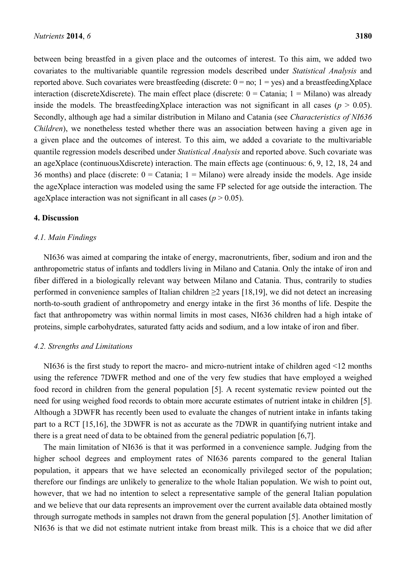between being breastfed in a given place and the outcomes of interest. To this aim, we added two covariates to the multivariable quantile regression models described under *Statistical Analysis* and reported above. Such covariates were breastfeeding (discrete:  $0 = no$ ;  $1 = yes$ ) and a breastfeedingXplace interaction (discreteXdiscrete). The main effect place (discrete:  $0 =$  Catania;  $1 =$  Milano) was already inside the models. The breastfeedingXplace interaction was not significant in all cases ( $p > 0.05$ ). Secondly, although age had a similar distribution in Milano and Catania (see *Characteristics of NI636 Children*), we nonetheless tested whether there was an association between having a given age in a given place and the outcomes of interest. To this aim, we added a covariate to the multivariable quantile regression models described under *Statistical Analysis* and reported above. Such covariate was an ageXplace (continuousXdiscrete) interaction. The main effects age (continuous: 6, 9, 12, 18, 24 and 36 months) and place (discrete:  $0 =$  Catania;  $1 =$  Milano) were already inside the models. Age inside the ageXplace interaction was modeled using the same FP selected for age outside the interaction. The ageXplace interaction was not significant in all cases ( $p > 0.05$ ).

### **4. Discussion**

### *4.1. Main Findings*

NI636 was aimed at comparing the intake of energy, macronutrients, fiber, sodium and iron and the anthropometric status of infants and toddlers living in Milano and Catania. Only the intake of iron and fiber differed in a biologically relevant way between Milano and Catania. Thus, contrarily to studies performed in convenience samples of Italian children  $\geq$  years [18,19], we did not detect an increasing north-to-south gradient of anthropometry and energy intake in the first 36 months of life. Despite the fact that anthropometry was within normal limits in most cases, NI636 children had a high intake of proteins, simple carbohydrates, saturated fatty acids and sodium, and a low intake of iron and fiber.

# *4.2. Strengths and Limitations*

NI636 is the first study to report the macro- and micro-nutrient intake of children aged <12 months using the reference 7DWFR method and one of the very few studies that have employed a weighed food record in children from the general population [5]. A recent systematic review pointed out the need for using weighed food records to obtain more accurate estimates of nutrient intake in children [5]. Although a 3DWFR has recently been used to evaluate the changes of nutrient intake in infants taking part to a RCT [15,16], the 3DWFR is not as accurate as the 7DWR in quantifying nutrient intake and there is a great need of data to be obtained from the general pediatric population [6,7].

The main limitation of NI636 is that it was performed in a convenience sample. Judging from the higher school degrees and employment rates of NI636 parents compared to the general Italian population, it appears that we have selected an economically privileged sector of the population; therefore our findings are unlikely to generalize to the whole Italian population. We wish to point out, however, that we had no intention to select a representative sample of the general Italian population and we believe that our data represents an improvement over the current available data obtained mostly through surrogate methods in samples not drawn from the general population [5]. Another limitation of NI636 is that we did not estimate nutrient intake from breast milk. This is a choice that we did after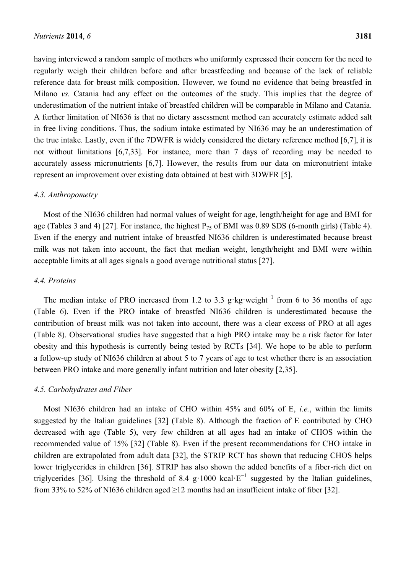having interviewed a random sample of mothers who uniformly expressed their concern for the need to regularly weigh their children before and after breastfeeding and because of the lack of reliable reference data for breast milk composition. However, we found no evidence that being breastfed in Milano *vs.* Catania had any effect on the outcomes of the study. This implies that the degree of underestimation of the nutrient intake of breastfed children will be comparable in Milano and Catania. A further limitation of NI636 is that no dietary assessment method can accurately estimate added salt in free living conditions. Thus, the sodium intake estimated by NI636 may be an underestimation of the true intake. Lastly, even if the 7DWFR is widely considered the dietary reference method [6,7], it is not without limitations [6,7,33]. For instance, more than 7 days of recording may be needed to accurately assess micronutrients [6,7]. However, the results from our data on micronutrient intake represent an improvement over existing data obtained at best with 3DWFR [5].

### *4.3. Anthropometry*

Most of the NI636 children had normal values of weight for age, length/height for age and BMI for age (Tables 3 and 4) [27]. For instance, the highest  $P_{75}$  of BMI was 0.89 SDS (6-month girls) (Table 4). Even if the energy and nutrient intake of breastfed NI636 children is underestimated because breast milk was not taken into account, the fact that median weight, length/height and BMI were within acceptable limits at all ages signals a good average nutritional status [27].

### *4.4. Proteins*

The median intake of PRO increased from 1.2 to 3.3 g⋅kg⋅weight<sup>-1</sup> from 6 to 36 months of age (Table 6). Even if the PRO intake of breastfed NI636 children is underestimated because the contribution of breast milk was not taken into account, there was a clear excess of PRO at all ages (Table 8). Observational studies have suggested that a high PRO intake may be a risk factor for later obesity and this hypothesis is currently being tested by RCTs [34]. We hope to be able to perform a follow-up study of NI636 children at about 5 to 7 years of age to test whether there is an association between PRO intake and more generally infant nutrition and later obesity [2,35].

### *4.5. Carbohydrates and Fiber*

Most NI636 children had an intake of CHO within 45% and 60% of E, *i.e.*, within the limits suggested by the Italian guidelines [32] (Table 8). Although the fraction of E contributed by CHO decreased with age (Table 5), very few children at all ages had an intake of CHOS within the recommended value of 15% [32] (Table 8). Even if the present recommendations for CHO intake in children are extrapolated from adult data [32], the STRIP RCT has shown that reducing CHOS helps lower triglycerides in children [36]. STRIP has also shown the added benefits of a fiber-rich diet on triglycerides [36]. Using the threshold of 8.4 g·1000 kcal· $E^{-1}$  suggested by the Italian guidelines, from 33% to 52% of NI636 children aged  $\geq$ 12 months had an insufficient intake of fiber [32].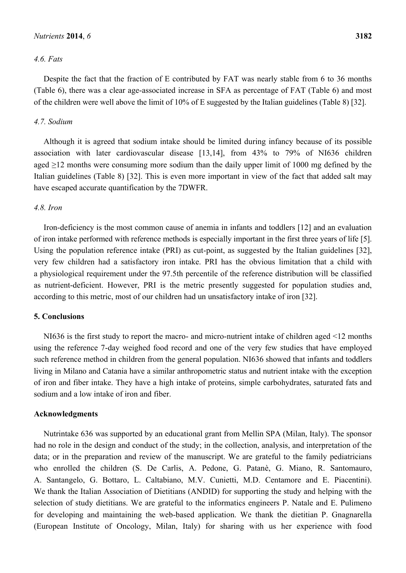### *4.6. Fats*

Despite the fact that the fraction of E contributed by FAT was nearly stable from 6 to 36 months (Table 6), there was a clear age-associated increase in SFA as percentage of FAT (Table 6) and most of the children were well above the limit of 10% of E suggested by the Italian guidelines (Table 8) [32].

### *4.7. Sodium*

Although it is agreed that sodium intake should be limited during infancy because of its possible association with later cardiovascular disease [13,14], from 43% to 79% of NI636 children aged  $\geq$ 12 months were consuming more sodium than the daily upper limit of 1000 mg defined by the Italian guidelines (Table 8) [32]. This is even more important in view of the fact that added salt may have escaped accurate quantification by the 7DWFR.

### *4.8. Iron*

Iron-deficiency is the most common cause of anemia in infants and toddlers [12] and an evaluation of iron intake performed with reference methods is especially important in the first three years of life [5]. Using the population reference intake (PRI) as cut-point, as suggested by the Italian guidelines [32], very few children had a satisfactory iron intake. PRI has the obvious limitation that a child with a physiological requirement under the 97.5th percentile of the reference distribution will be classified as nutrient-deficient. However, PRI is the metric presently suggested for population studies and, according to this metric, most of our children had un unsatisfactory intake of iron [32].

### **5. Conclusions**

NI636 is the first study to report the macro- and micro-nutrient intake of children aged <12 months using the reference 7-day weighed food record and one of the very few studies that have employed such reference method in children from the general population. NI636 showed that infants and toddlers living in Milano and Catania have a similar anthropometric status and nutrient intake with the exception of iron and fiber intake. They have a high intake of proteins, simple carbohydrates, saturated fats and sodium and a low intake of iron and fiber.

### **Acknowledgments**

Nutrintake 636 was supported by an educational grant from Mellin SPA (Milan, Italy). The sponsor had no role in the design and conduct of the study; in the collection, analysis, and interpretation of the data; or in the preparation and review of the manuscript. We are grateful to the family pediatricians who enrolled the children (S. De Carlis, A. Pedone, G. Patanè, G. Miano, R. Santomauro, A. Santangelo, G. Bottaro, L. Caltabiano, M.V. Cunietti, M.D. Centamore and E. Piacentini). We thank the Italian Association of Dietitians (ANDID) for supporting the study and helping with the selection of study dietitians. We are grateful to the informatics engineers P. Natale and E. Pulimeno for developing and maintaining the web-based application. We thank the dietitian P. Gnagnarella (European Institute of Oncology, Milan, Italy) for sharing with us her experience with food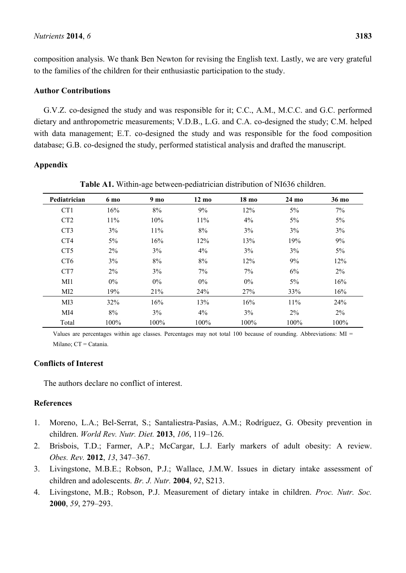composition analysis. We thank Ben Newton for revising the English text. Lastly, we are very grateful to the families of the children for their enthusiastic participation to the study.

### **Author Contributions**

G.V.Z. co-designed the study and was responsible for it; C.C., A.M., M.C.C. and G.C. performed dietary and anthropometric measurements; V.D.B., L.G. and C.A. co-designed the study; C.M. helped with data management; E.T. co-designed the study and was responsible for the food composition database; G.B. co-designed the study, performed statistical analysis and drafted the manuscript.

# **Appendix**

| Pediatrician     | 6 mo  | 9 <sub>mo</sub> | $12 \text{ mo}$ | 18 mo | 24 mo | 36 mo |
|------------------|-------|-----------------|-----------------|-------|-------|-------|
| CT1              | 16%   | $8\%$           | 9%              | 12%   | 5%    | 7%    |
| C <sub>T</sub> 2 | 11%   | 10%             | 11%             | 4%    | 5%    | $5\%$ |
| CT <sub>3</sub>  | 3%    | 11%             | 8%              | 3%    | 3%    | 3%    |
| CT4              | 5%    | 16%             | 12%             | 13%   | 19%   | 9%    |
| CT <sub>5</sub>  | $2\%$ | 3%              | 4%              | 3%    | 3%    | $5\%$ |
| C <sub>T6</sub>  | 3%    | 8%              | $8\%$           | 12%   | 9%    | 12%   |
| CT7              | 2%    | 3%              | 7%              | 7%    | 6%    | 2%    |
| MI1              | $0\%$ | $0\%$           | $0\%$           | 0%    | 5%    | 16%   |
| MI2              | 19%   | 21%             | 24%             | 27%   | 33%   | 16%   |
| M <sub>I</sub> 3 | 32%   | 16%             | 13%             | 16%   | 11%   | 24%   |
| MI4              | 8%    | 3%              | 4%              | 3%    | 2%    | 2%    |
| Total            | 100%  | 100%            | 100%            | 100%  | 100%  | 100%  |

**Table A1.** Within-age between-pediatrician distribution of NI636 children.

Values are percentages within age classes. Percentages may not total 100 because of rounding. Abbreviations:  $MI =$ Milano; CT = Catania.

# **Conflicts of Interest**

The authors declare no conflict of interest.

# **References**

- 1. Moreno, L.A.; Bel-Serrat, S.; Santaliestra-Pasías, A.M.; Rodríguez, G. Obesity prevention in children. *World Rev. Nutr. Diet.* **2013**, *106*, 119–126.
- 2. Brisbois, T.D.; Farmer, A.P.; McCargar, L.J. Early markers of adult obesity: A review. *Obes. Rev.* **2012**, *13*, 347–367.
- 3. Livingstone, M.B.E.; Robson, P.J.; Wallace, J.M.W. Issues in dietary intake assessment of children and adolescents. *Br. J. Nutr.* **2004**, *92*, S213.
- 4. Livingstone, M.B.; Robson, P.J. Measurement of dietary intake in children. *Proc. Nutr. Soc.* **2000**, *59*, 279–293.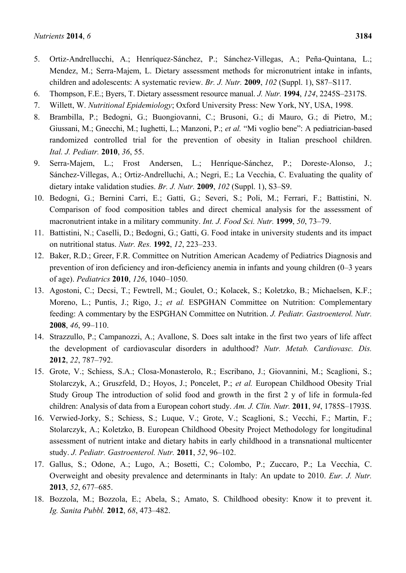- 5. Ortiz-Andrellucchi, A.; Henríquez-Sánchez, P.; Sánchez-Villegas, A.; Peña-Quintana, L.; Mendez, M.; Serra-Majem, L. Dietary assessment methods for micronutrient intake in infants, children and adolescents: A systematic review. *Br. J. Nutr.* **2009**, *102* (Suppl. 1), S87–S117.
- 6. Thompson, F.E.; Byers, T. Dietary assessment resource manual. *J. Nutr.* **1994**, *124*, 2245S–2317S.
- 7. Willett, W. *Nutritional Epidemiology*; Oxford University Press: New York, NY, USA, 1998.
- 8. Brambilla, P.; Bedogni, G.; Buongiovanni, C.; Brusoni, G.; di Mauro, G.; di Pietro, M.; Giussani, M.; Gnecchi, M.; Iughetti, L.; Manzoni, P.; *et al.* "Mi voglio bene": A pediatrician-based randomized controlled trial for the prevention of obesity in Italian preschool children. *Ital. J. Pediatr.* **2010**, *36*, 55.
- 9. Serra-Majem, L.; Frost Andersen, L.; Henríque-Sánchez, P.; Doreste-Alonso, J.; Sánchez-Villegas, A.; Ortiz-Andrelluchi, A.; Negri, E.; La Vecchia, C. Evaluating the quality of dietary intake validation studies. *Br. J. Nutr.* **2009**, *102* (Suppl. 1), S3–S9.
- 10. Bedogni, G.; Bernini Carri, E.; Gatti, G.; Severi, S.; Poli, M.; Ferrari, F.; Battistini, N. Comparison of food composition tables and direct chemical analysis for the assessment of macronutrient intake in a military community. *Int. J. Food Sci. Nutr.* **1999**, *50*, 73–79.
- 11. Battistini, N.; Caselli, D.; Bedogni, G.; Gatti, G. Food intake in university students and its impact on nutritional status. *Nutr. Res.* **1992**, *12*, 223–233.
- 12. Baker, R.D.; Greer, F.R. Committee on Nutrition American Academy of Pediatrics Diagnosis and prevention of iron deficiency and iron-deficiency anemia in infants and young children (0–3 years of age). *Pediatrics* **2010**, *126*, 1040–1050.
- 13. Agostoni, C.; Decsi, T.; Fewtrell, M.; Goulet, O.; Kolacek, S.; Koletzko, B.; Michaelsen, K.F.; Moreno, L.; Puntis, J.; Rigo, J.; *et al.* ESPGHAN Committee on Nutrition: Complementary feeding: A commentary by the ESPGHAN Committee on Nutrition. *J. Pediatr. Gastroenterol. Nutr.* **2008**, *46*, 99–110.
- 14. Strazzullo, P.; Campanozzi, A.; Avallone, S. Does salt intake in the first two years of life affect the development of cardiovascular disorders in adulthood? *Nutr. Metab. Cardiovasc. Dis.* **2012**, *22*, 787–792.
- 15. Grote, V.; Schiess, S.A.; Closa-Monasterolo, R.; Escribano, J.; Giovannini, M.; Scaglioni, S.; Stolarczyk, A.; Gruszfeld, D.; Hoyos, J.; Poncelet, P.; *et al.* European Childhood Obesity Trial Study Group The introduction of solid food and growth in the first 2 y of life in formula-fed children: Analysis of data from a European cohort study. *Am. J. Clin. Nutr.* **2011**, *94*, 1785S–1793S.
- 16. Verwied-Jorky, S.; Schiess, S.; Luque, V.; Grote, V.; Scaglioni, S.; Vecchi, F.; Martin, F.; Stolarczyk, A.; Koletzko, B. European Childhood Obesity Project Methodology for longitudinal assessment of nutrient intake and dietary habits in early childhood in a transnational multicenter study. *J. Pediatr. Gastroenterol. Nutr.* **2011**, *52*, 96–102.
- 17. Gallus, S.; Odone, A.; Lugo, A.; Bosetti, C.; Colombo, P.; Zuccaro, P.; La Vecchia, C. Overweight and obesity prevalence and determinants in Italy: An update to 2010. *Eur. J. Nutr.* **2013**, *52*, 677–685.
- 18. Bozzola, M.; Bozzola, E.; Abela, S.; Amato, S. Childhood obesity: Know it to prevent it. *Ig. Sanita Pubbl.* **2012**, *68*, 473–482.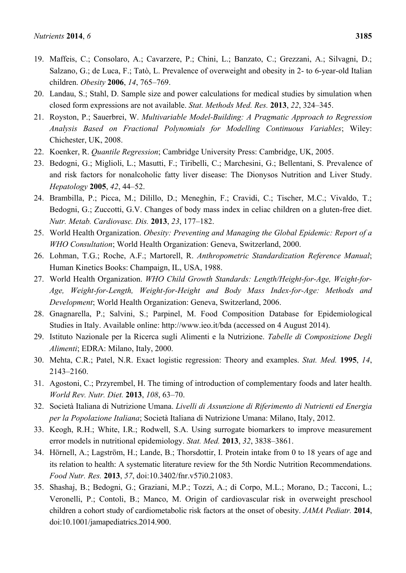- 19. Maffeis, C.; Consolaro, A.; Cavarzere, P.; Chini, L.; Banzato, C.; Grezzani, A.; Silvagni, D.; Salzano, G.; de Luca, F.; Tatò, L. Prevalence of overweight and obesity in 2- to 6-year-old Italian children. *Obesity* **2006**, *14*, 765–769.
- 20. Landau, S.; Stahl, D. Sample size and power calculations for medical studies by simulation when closed form expressions are not available. *Stat. Methods Med. Res.* **2013**, *22*, 324–345.
- 21. Royston, P.; Sauerbrei, W. *Multivariable Model-Building: A Pragmatic Approach to Regression Analysis Based on Fractional Polynomials for Modelling Continuous Variables*; Wiley: Chichester, UK, 2008.
- 22. Koenker, R. *Quantile Regression*; Cambridge University Press: Cambridge, UK, 2005.
- 23. Bedogni, G.; Miglioli, L.; Masutti, F.; Tiribelli, C.; Marchesini, G.; Bellentani, S. Prevalence of and risk factors for nonalcoholic fatty liver disease: The Dionysos Nutrition and Liver Study. *Hepatology* **2005**, *42*, 44–52.
- 24. Brambilla, P.; Picca, M.; Dilillo, D.; Meneghin, F.; Cravidi, C.; Tischer, M.C.; Vivaldo, T.; Bedogni, G.; Zuccotti, G.V. Changes of body mass index in celiac children on a gluten-free diet. *Nutr. Metab. Cardiovasc. Dis.* **2013**, *23*, 177–182.
- 25. World Health Organization. *Obesity: Preventing and Managing the Global Epidemic: Report of a WHO Consultation*; World Health Organization: Geneva, Switzerland, 2000.
- 26. Lohman, T.G.; Roche, A.F.; Martorell, R. *Anthropometric Standardization Reference Manual*; Human Kinetics Books: Champaign, IL, USA, 1988.
- 27. World Health Organization. *WHO Child Growth Standards: Length/Height-for-Age, Weight-for-Age, Weight-for-Length, Weight-for-Height and Body Mass Index-for-Age: Methods and Development*; World Health Organization: Geneva, Switzerland, 2006.
- 28. Gnagnarella, P.; Salvini, S.; Parpinel, M. Food Composition Database for Epidemiological Studies in Italy. Available online: http://www.ieo.it/bda (accessed on 4 August 2014).
- 29. Istituto Nazionale per la Ricerca sugli Alimenti e la Nutrizione. *Tabelle di Composizione Degli Alimenti*; EDRA: Milano, Italy, 2000.
- 30. Mehta, C.R.; Patel, N.R. Exact logistic regression: Theory and examples. *Stat. Med.* **1995**, *14*, 2143–2160.
- 31. Agostoni, C.; Przyrembel, H. The timing of introduction of complementary foods and later health. *World Rev. Nutr. Diet.* **2013**, *108*, 63–70.
- 32. Società Italiana di Nutrizione Umana. *Livelli di Assunzione di Riferimento di Nutrienti ed Energia per la Popolazione Italiana*; Società Italiana di Nutrizione Umana: Milano, Italy, 2012.
- 33. Keogh, R.H.; White, I.R.; Rodwell, S.A. Using surrogate biomarkers to improve measurement error models in nutritional epidemiology. *Stat. Med.* **2013**, *32*, 3838–3861.
- 34. Hörnell, A.; Lagström, H.; Lande, B.; Thorsdottir, I. Protein intake from 0 to 18 years of age and its relation to health: A systematic literature review for the 5th Nordic Nutrition Recommendations. *Food Nutr. Res.* **2013**, *57*, doi:10.3402/fnr.v57i0.21083.
- 35. Shashaj, B.; Bedogni, G.; Graziani, M.P.; Tozzi, A.; di Corpo, M.L.; Morano, D.; Tacconi, L.; Veronelli, P.; Contoli, B.; Manco, M. Origin of cardiovascular risk in overweight preschool children a cohort study of cardiometabolic risk factors at the onset of obesity. *JAMA Pediatr.* **2014**, doi:10.1001/jamapediatrics.2014.900.